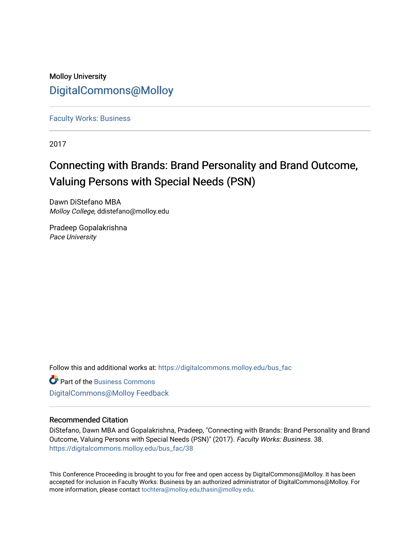## Molloy University [DigitalCommons@Molloy](https://digitalcommons.molloy.edu/)

[Faculty Works: Business](https://digitalcommons.molloy.edu/bus_fac) 

2017

## Connecting with Brands: Brand Personality and Brand Outcome, Valuing Persons with Special Needs (PSN)

Dawn DiStefano MBA Molloy College, ddistefano@molloy.edu

Pradeep Gopalakrishna Pace University

Follow this and additional works at: [https://digitalcommons.molloy.edu/bus\\_fac](https://digitalcommons.molloy.edu/bus_fac?utm_source=digitalcommons.molloy.edu%2Fbus_fac%2F38&utm_medium=PDF&utm_campaign=PDFCoverPages)

**C** Part of the [Business Commons](https://network.bepress.com/hgg/discipline/622?utm_source=digitalcommons.molloy.edu%2Fbus_fac%2F38&utm_medium=PDF&utm_campaign=PDFCoverPages) [DigitalCommons@Molloy Feedback](https://molloy.libwizard.com/f/dcfeedback)

### Recommended Citation

DiStefano, Dawn MBA and Gopalakrishna, Pradeep, "Connecting with Brands: Brand Personality and Brand Outcome, Valuing Persons with Special Needs (PSN)" (2017). Faculty Works: Business. 38. [https://digitalcommons.molloy.edu/bus\\_fac/38](https://digitalcommons.molloy.edu/bus_fac/38?utm_source=digitalcommons.molloy.edu%2Fbus_fac%2F38&utm_medium=PDF&utm_campaign=PDFCoverPages) 

This Conference Proceeding is brought to you for free and open access by DigitalCommons@Molloy. It has been accepted for inclusion in Faculty Works: Business by an authorized administrator of DigitalCommons@Molloy. For more information, please contact [tochtera@molloy.edu,thasin@molloy.edu.](mailto:tochtera@molloy.edu,thasin@molloy.edu)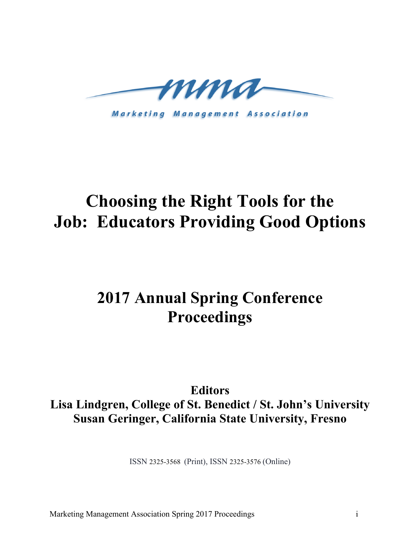

**Marketing Management Association** 

# **Choosing the Right Tools for the Job: Educators Providing Good Options**

# **2017 Annual Spring Conference Proceedings**

**Editors Lisa Lindgren, College of St. Benedict / St. John's University Susan Geringer, California State University, Fresno**

ISSN 2325-3568 (Print), ISSN 2325-3576 (Online)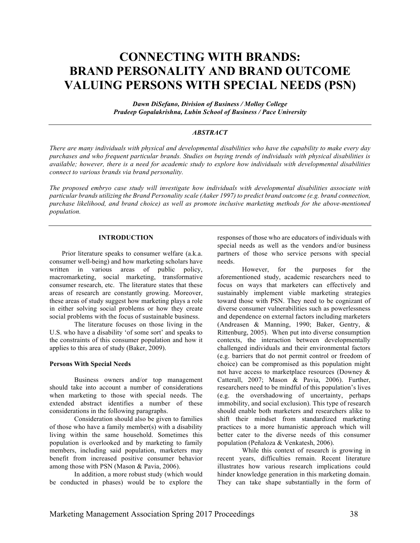## **CONNECTING WITH BRANDS: BRAND PERSONALITY AND BRAND OUTCOME VALUING PERSONS WITH SPECIAL NEEDS (PSN)**

*Dawn DiSefano, Division of Business / Molloy College Pradeep Gopalakrishna, Lubin School of Business / Pace University*

#### *ABSTRACT*

*There are many individuals with physical and developmental disabilities who have the capability to make every day purchases and who frequent particular brands. Studies on buying trends of individuals with physical disabilities is available; however, there is a need for academic study to explore how individuals with developmental disabilities connect to various brands via brand personality.*

*The proposed embryo case study will investigate how individuals with developmental disabilities associate with particular brands utilizing the Brand Personality scale (Aaker 1997) to predict brand outcome (e.g. brand connection, purchase likelihood, and brand choice) as well as promote inclusive marketing methods for the above-mentioned population.*

#### **INTRODUCTION**

Prior literature speaks to consumer welfare (a.k.a. consumer well-being) and how marketing scholars have written in various areas of public policy, macromarketing, social marketing, transformative consumer research, etc. The literature states that these areas of research are constantly growing. Moreover, these areas of study suggest how marketing plays a role in either solving social problems or how they create social problems with the focus of sustainable business.

The literature focuses on those living in the U.S. who have a disability 'of some sort' and speaks to the constraints of this consumer population and how it applies to this area of study (Baker, 2009).

#### **Persons With Special Needs**

Business owners and/or top management should take into account a number of considerations when marketing to those with special needs. The extended abstract identifies a number of these considerations in the following paragraphs.

Consideration should also be given to families of those who have a family member(s) with a disability living within the same household. Sometimes this population is overlooked and by marketing to family members, including said population, marketers may benefit from increased positive consumer behavior among those with PSN (Mason & Pavia, 2006).

In addition, a more robust study (which would be conducted in phases) would be to explore the

responses of those who are educators of individuals with special needs as well as the vendors and/or business partners of those who service persons with special needs.

However, for the purposes for the aforementioned study, academic researchers need to focus on ways that marketers can effectively and sustainably implement viable marketing strategies toward those with PSN. They need to be cognizant of diverse consumer vulnerabilities such as powerlessness and dependence on external factors including marketers (Andreasen & Manning, 1990; Baker, Gentry, & Rittenburg, 2005). When put into diverse consumption contexts, the interaction between developmentally challenged individuals and their environmental factors (e.g. barriers that do not permit control or freedom of choice) can be compromised as this population might not have access to marketplace resources (Downey & Catterall, 2007; Mason & Pavia, 2006). Further, researchers need to be mindful of this population's lives (e.g. the overshadowing of uncertainty, perhaps immobility, and social exclusion). This type of research should enable both marketers and researchers alike to shift their mindset from standardized marketing practices to a more humanistic approach which will better cater to the diverse needs of this consumer population (Peñaloza & Venkatesh, 2006).

While this context of research is growing in recent years, difficulties remain. Recent literature illustrates how various research implications could hinder knowledge generation in this marketing domain. They can take shape substantially in the form of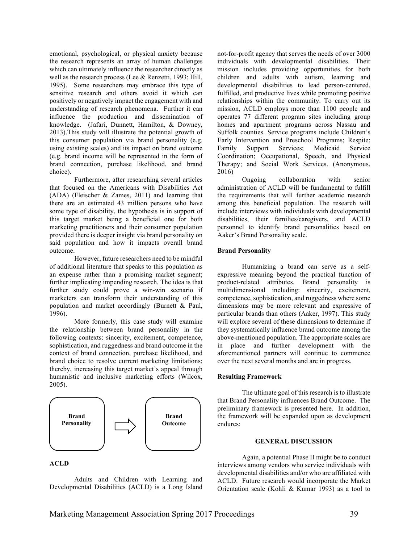emotional, psychological, or physical anxiety because the research represents an array of human challenges which can ultimately influence the researcher directly as well as the research process (Lee & Renzetti, 1993; Hill, 1995). Some researchers may embrace this type of sensitive research and others avoid it which can positively or negatively impact the engagement with and understanding of research phenomena. Further it can influence the production and dissemination of knowledge. (Jafari, Dunnett, Hamilton, & Downey, 2013).This study will illustrate the potential growth of this consumer population via brand personality (e.g. using existing scales) and its impact on brand outcome (e.g. brand income will be represented in the form of brand connection, purchase likelihood, and brand choice).

Furthermore, after researching several articles that focused on the Americans with Disabilities Act (ADA) (Fleischer & Zames, 2011) and learning that there are an estimated 43 million persons who have some type of disability, the hypothesis is in support of this target market being a beneficial one for both marketing practitioners and their consumer population provided there is deeper insight via brand personality on said population and how it impacts overall brand outcome.

However, future researchers need to be mindful of additional literature that speaks to this population as an expense rather than a promising market segment; further implicating impending research. The idea is that further study could prove a win-win scenario if marketers can transform their understanding of this population and market accordingly (Burnett & Paul, 1996).

More formerly, this case study will examine the relationship between brand personality in the following contexts: sincerity, excitement, competence, sophistication, and ruggedness and brand outcome in the context of brand connection, purchase likelihood, and brand choice to resolve current marketing limitations; thereby, increasing this target market's appeal through humanistic and inclusive marketing efforts (Wilcox, 2005).



### **ACLD**

Adults and Children with Learning and Developmental Disabilities (ACLD) is a Long Island not-for-profit agency that serves the needs of over 3000 individuals with developmental disabilities. Their mission includes providing opportunities for both children and adults with autism, learning and developmental disabilities to lead person-centered, fulfilled, and productive lives while promoting positive relationships within the community. To carry out its mission, ACLD employs more than 1100 people and operates 77 different program sites including group homes and apartment programs across Nassau and Suffolk counties. Service programs include Children's Early Intervention and Preschool Programs; Respite; Family Support Services; Medicaid Service Coordination; Occupational, Speech, and Physical Therapy; and Social Work Services. (Anonymous, 2016)

Ongoing collaboration with senior administration of ACLD will be fundamental to fulfill the requirements that will further academic research among this beneficial population. The research will include interviews with individuals with developmental disabilities, their families/caregivers, and ACLD personnel to identify brand personalities based on Aaker's Brand Personality scale.

#### **Brand Personality**

Humanizing a brand can serve as a selfexpressive meaning beyond the practical function of product-related attributes. Brand personality is multidimensional including: sincerity, excitement, competence, sophistication, and ruggedness where some dimensions may be more relevant and expressive of particular brands than others (Aaker, 1997). This study will explore several of these dimensions to determine if they systematically influence brand outcome among the above-mentioned population. The appropriate scales are in place and further development with the aforementioned partners will continue to commence over the next several months and are in progress.

#### **Resulting Framework**

The ultimate goal of this research is to illustrate that Brand Personality influences Brand Outcome. The preliminary framework is presented here. In addition, the framework will be expanded upon as development endures:

#### **GENERAL DISCUSSION**

Again, a potential Phase II might be to conduct interviews among vendors who service individuals with developmental disabilities and/or who are affiliated with ACLD. Future research would incorporate the Market Orientation scale (Kohli & Kumar 1993) as a tool to